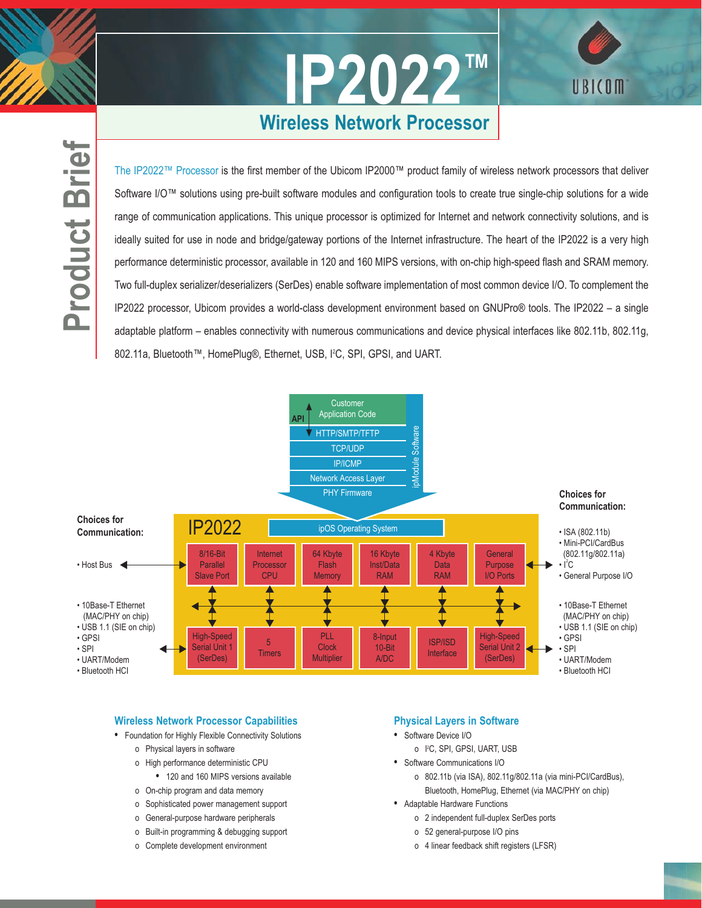## **Wireless Network Processor IP2022™**



# **Product Brief Product Brief**

The IP2022™ Processor is the first member of the Ubicom IP2000™ product family of wireless network processors that deliver Software I/O™ solutions using pre-built software modules and configuration tools to create true single-chip solutions for a wide range of communication applications. This unique processor is optimized for Internet and network connectivity solutions, and is ideally suited for use in node and bridge/gateway portions of the Internet infrastructure. The heart of the IP2022 is a very high performance deterministic processor, available in 120 and 160 MIPS versions, with on-chip high-speed flash and SRAM memory. Two full-duplex serializer/deserializers (SerDes) enable software implementation of most common device I/O. To complement the IP2022 processor, Ubicom provides a world-class development environment based on GNUPro® tools. The IP2022 – a single adaptable platform – enables connectivity with numerous communications and device physical interfaces like 802.11b, 802.11g, 802.11a, Bluetooth™, HomePlug®, Ethernet, USB, I<sup>2</sup>C, SPI, GPSI, and UART.



#### **Wireless Network Processor Capabilities**

- **•** Foundation for Highly Flexible Connectivity Solutions
	- o Physical layers in software
	- o High performance deterministic CPU
		- **•** 120 and 160 MIPS versions available
	- o On-chip program and data memory
	- o Sophisticated power management support
	- o General-purpose hardware peripherals
	- o Built-in programming & debugging support
	- o Complete development environment

#### **Physical Layers in Software**

- **•** Software Device I/O
	- o I2 C, SPI, GPSI, UART, USB
- **•** Software Communications I/O
	- o 802.11b (via ISA), 802.11g/802.11a (via mini-PCI/CardBus), Bluetooth, HomePlug, Ethernet (via MAC/PHY on chip)
- **•** Adaptable Hardware Functions
	- o 2 independent full-duplex SerDes ports
	- o 52 general-purpose I/O pins
	- o 4 linear feedback shift registers (LFSR)